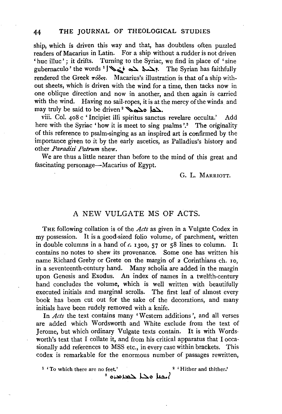ship, which is driven this way and that, has doubtless often puzzled readers of Macarius in Latin. For a ship without a rudder is not driven 'huc illuc'; it drifts. Turning to the Syriac, we find in place of 'sine  $g$ ubernaculo' the words  $\sum_{i=1}^{\infty}$ . The Syrian has faithfully rendered the Greek  $\pi \delta \delta \epsilon s$ . Macarius's illustration is that of a ship without sheets, which is driven with the wind for a time, then tacks now in one oblique direction and now in another, and then again is carried with the wind. Having no sail-ropes, it is at the mercy of the winds and may truly be said to be driven<sup>2</sup>  $\sum_{\alpha}$   $\sum_{\alpha}$ 

viii. Col. 408 c ' Incipiet illi spiritus sanctus revelare occulta.' Add here with the Syriac 'how it is meet to sing psalms'.<sup>3</sup> The originality of this reference to psalm-singing as an inspired art is confirmed by the importance given to it by the early ascetics, as Palladius's history and other *Paradisi Patrum* shew.

We are thus a little nearer than before to the mind of this great and fascinating personage-Macarius of Egypt.

G. L. MARRIOTT.

## A NEW VULGATE MS OF ACTS.

THE following collation is of the *Acts* as given in a Vulgate Codex in my possession. It is a good-sized folio volume, of parchment, written in double columns in a hand of  $c$ . 1300, 57 or 58 lines to column. It contains no notes to shew its provenance. Some one has written his name Richard Greby or Grete on the margin of 2 Corinthians eh. 10, in a seventeenth-century hand. Many scholia are added in the margin upon Genesis and Exodus. An index of names in a twelfth-century hand concludes the volume, which is well written with beautifully executed initials and marginal scrolls. The first leaf of almost every book has been cut out for the sake of the decorations, and many initials have been rudely removed with a knife.

In *Acts* the text contains many 'Western additions', and all verses are added which Wordsworth and White exclude from the text of Jerome, but which ordinary Vulgate texts contain. It is with Wordsworth's text that I collate it, and from his critical apparatus that I occasionally add references to MSS etc., in every case within brackets. This codex is remarkable for the enormous number of passages rewritten,

<sup>1</sup> 'To which there are no feet.' <sup>2</sup> 'Hither and thither.'

 $^3$  مدا حمد مدن  $^3$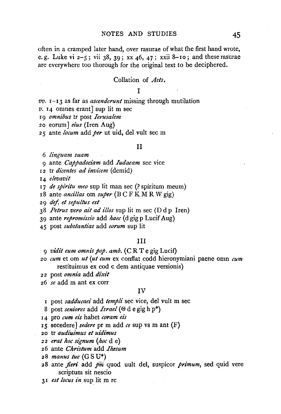often in a cramped later hand, over rasurae of what the first hand wrote, e. g. Luke vi  $2-5$ ; vii  $38$ ,  $39$ ; xx  $46$ ,  $47$ ; xxii 8-10; and these rasurae are everywhere too thorough for the original text to be deciphered.

### Collation of *Arts*.

### T

*vv.* I-I3 as far as *ascenderunt* missing through mutilation

- *v.* I4 omnes erant] sup lit m sec
- <sup>I</sup>9 *omnibus* tr post *Ierusalem*
- 20 eorum] *eius* (Iren Aug)
- 2 5 ante *locum* add *per* ut uid, del vult sec m

#### 11

6 *linguam suam* 

9 ante *Cappadociam* add *Iudaeam* sec vice

12 tr *dicentes ad invicem* (demid)

I4 *elevavit* 

r7 *de spiritu meo* sup lit man sec(? spiritum meum)

I8 ante *ancillas* om *super* (BC F KM R W gig)

2 9 *def. et sepultus est* 

38 *Petrus vero ail ad illos* sup lit m sec (D d p lren)

39 ante *repromi'ssi'o* add *haec* (d gig p Lucif Aug)

45 post *substantias* add *eorum* sup lit

### Ill

9 *vidit eum omnis pop. amb.* (C R T e gig Lucif)

20 *cum* et om *ut (ut cum* ex conflat codd hieronymiani paene omn *cum*  restituimus ex cod c dem antiquae versionis)

2 2 post *omnia* add *dixit* 

26 *se* add m ant ex corr

### IV

<sup>I</sup>post *sadducaei* add *templi* sec vice, del vult m sec

- 8 post *seniores* add *Israel(®* de gig hp\*)
- <sup>I</sup>4 pro *cum eis* habet *coram eis*

IS secedere] *sedere* pr m add *ce* sup vs m ant (F)

- 20 tr *audiuimus et uidi'mus*
- 22 *erat hoc signum (hoc* de)
- 26 ante *Christum* add *Ihesum*
- 28 *manus tue* (G S U\*)
- 28 ante *jien·* add *jiiii* quod uult del, suspicor *primum,* sed quid vere scriptum sit nescio

3I *est locus in* sup lit m re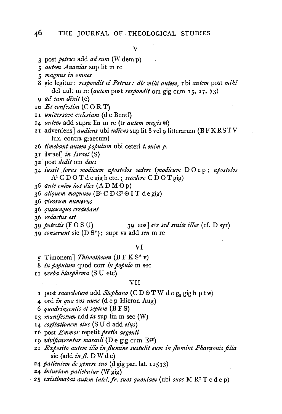# 46 THE JOURNAL OF THEOLOGICAL STUDIES

V

- 3 post *petrus* add *ad eum* (W dem p)
- 5 *autem Ananias* sup lit m re
- 5 *magnus in omnes*
- 8 sic legitur: *respondit ei Petrus: die mihi autem,* ubi *autem* post *mihi*  del uult m re *(autem* post *respondit* om gig cum 15, 17, 73)
- 9 *ad eam dixit* (e)
- 10 *Et conjestim* (C 0 R T)
- II *universam ecclesiam* (de Bentl)
- 14 *autem* add supra lin m re (tr *autem magis®)*
- 21 adveniens] *audiens* ubi *udiens* sup lit 8 vel 9 litterarum (BFKRSTV lux. contra graecum)
- 26 *timebant autem populum* ubi ceteri *t. enim p.*
- 31 Israel] *in Israel* (S}
- 32 post *dedit* om *deus*
- 34 *i'ussit foras modicum apostolos sedere (modi'cum* D 0 e p; *aposto!os N* C D 0 T d e gig h etc. ;\_ *secedere* C D 0 T gig)
- 36 *ante eni'm hos di'es* (AD M 0 p)
- $36$  *aliquem magnum*  $(B<sup>1</sup>C D G<sup>2</sup> \Theta T d e gig)$
- 36 *virorum numerus*
- 36 *qui'cunque credebant*
- 36 *redactus est*
- 39 *potestis* (F 0 S U) 39 eos J *eos sed sinite illos* (cf. D syr)
- 39 *conserunt* sic (D S\*); supr vs add *sen* m re

#### VI

- 5 Timonem J *Thimotheum* (B F K S\* v)
- 8 *in populum* quod corr *in populo* m sec
- I I *verba blasphema* (S U etc)

### VII

- I post *sacerdotum* add *Stephano* (CDOTW dog, gigh ptw)
- 4 ord *in qua vos nunc* (d e p Hieron Aug)
- 6 *quadringentis et septem* (B F S)
- <sup>I</sup>3 *maniftstum* add *ta* sup lin m sec (W)
- 14 *cogitati'onem eius* (S U d add *eius)*
- 16 post *Emmor* repetit *preli'o argentz'*
- 19 *vivificarentur masculi* (De gig cum Egr)
- 21 *Exposito autem illo in flumine sustulit eum in flumine Pharaonis filia* sic (add *in fl.* DWde)
- 24 *patientem de genere suo* (d gig par. lat. 11533)
- 24 *iniuriam patiebatur* (W gig)
- · 25 *exi'sti'mabat autem intel.jr. suos quoniam* (ubi *suds* M R2 T c de p)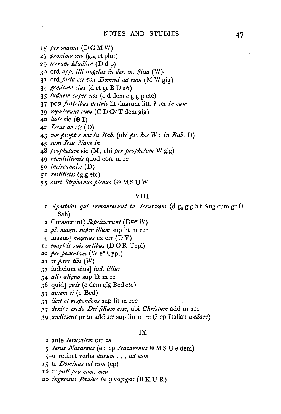- *:z* 5 *per manus* ( D G M W)
- *proximo suo* (gig et plur)
- *terram Madian* (D d p)
- 30 ord *app. illi angelus in des. m. Sina* (W)•
- I ord *facta est vox Domini ad eum* (M W gig)
- *gemitum eius* (d et gr BD 26)
- *iudicem super nos* (c d dem e gig p etc)
- *postfratribus vestrz's* lit duarum litt. ? scr *in eum*
- *repulerunt eum* (CD Gc T dem gig)
- *hui'c* sic (®I)
- *Deus ab et's* (D)
- *vos propter hoc in Bab.* (ubipr. *hoc* W: *in Bab.* D)
- *cum Iesu Nave in*
- *prophetam* sic (M, ubi *per prophetam* W gig)
- *requisitionz's* quod corr m re
- *incircumcisi* (D)
- r *restitistis* (gig etc)
- *esset Stephanus plenus* Gc MS U W

### VIII

- r *Apostolos qui remanserunt in Ierusalem* (d g<sub>2</sub> gig h t Aug cum gr D Sah)
- 2 Curaverunt] *Sepeliuerunt* (Dmg W)
- *pl. magn. super illum* sup lit m rec
- 9 magus] *magnus* ex err (DV)
- r I *magicz's suis artibus* (D 0 R Tepl)
- *per pecuniam* (W e\* Cypr)
- 2 I tr *pars tibi* (W)
- 33 iudicium eius] *iud. illius*
- *alz"o aliquo* sup lit m re
- quid] *quis* (c dem gig Bed etc)
- *autem ei* (e Bed)
- 3 7 *licet et respondens* sup lit m rec
- *dixit: credo Dei filium esse*, ubi *Christum* add m sec
- *andissent* pr m add *see* sup lin m re (? cp Italian *andare)*

### IX

- 2 ante *Ierusalem* om *in*
- *Iesus Nazareus* (e ; cp *Nazarenus*  $\Theta$  M S U e dem)
- 5-6 retinet verba *durum* ... *ad eum*
- 15 tr *Dominus ad eum* (cp)
- 6. tr *pati pro nom. meo*
- *ingressus Paulus in synagogas* (B K U R)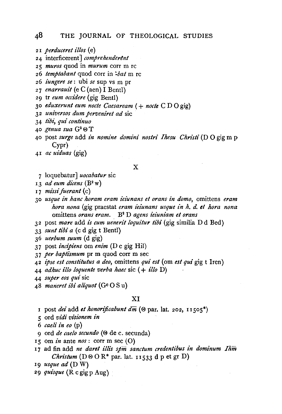## 48 THE JOURNAL OF THEOLOGICAL STUDIES

- 2I *perduceret illos* (e)
- 24 interficerent] *comprehenderent*
- <sup>2</sup>*5 muros* quod in *murum* corr m re
- 26 *temptabant* quod corr in ~bat m re
- 26 *iungere se:* ubi *se* sup vs m pr
- 27 *enarrauit* (e C (aen) I Bentl)
- 29 tr *eum occidere* (gig Bentl)
- 30 *eduxerunt eum nocte Caesaream* ( + *nocte* C D 0 gig)
- 32 *universos dum perveniret ad* sic
- 34 *tibi, qui continua*
- 40 *genua sua* G2 ® T
- 40 post *surge* add *in nomine domini nostri Ihesu Christi* (D 0 gig m p Cypr)
- 4I *ac uiduas* (gig)

#### X

- 7 loquebatur] *uocabatur* sic
- I3 *ad eum dicens* (B2 w)
- 17 *missi fuerant* (c)
- 30 *usque in hanc horam eram ieiunans et orans in domo,* omittens *eram hora nona* (gig praestat *eram i'ei'unans usque in h. d. et hora nona*  omittens *orans eram.* B2 D *agens ieiuniam et orans*
- 32 post *mare* add *is cum uenerit loquitur tibi* (gig similia D d Bed)
- 33 *sunt tibi a* ( c d gig t Bentl)
- 36 *uerbum suum* (d gig)
- 37 post *incifiens* om *enim* (D c gig Hil)
- 3 7 *per baptismum* pr m quod corr m sec
- 42 *ipse est constitutus a deo,* omittens *qui est* (om *est qui* gig t Iren)
- 44 *adhuc illo loquente verba haec* sic ( + *i'llo* D)
- 44 *super eos qui* sic
- 48 *maneret ibi aliquot* (Gc 0 S u)

### XI

- I post *dei* add *et honorijicabunt dm* (®par. }at. 202, 1I505\*)
- *5* ord *vidi visionem in*
- 6 *caeli in eo* (p)
- 9 ord *de caelo secunda(®* de c. secunda)
- I5 om *in* ante *nos:* corr m sec (0)
- <sup>I</sup>7 ad fin add *ne daret illis spm sanctum credentibus in dominum Ihm Christum* ( $D \otimes O R^*$  par. lat. 11533 d p et gr D)
- I9 *usque ad* (D W)
- 29 *quisque* (R c gigp Aug)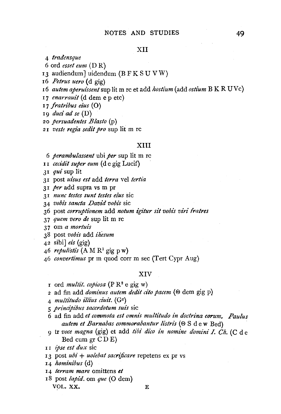### XII

- 4 *tradensque*
- 6 ord *esset eunz* (D R)
- <sup>I</sup>3 audiendum] uidendum (B F K S U V W)
- I6 *Petrus uero* {d gig)
- 16 *autem aperuissent* sup lit m re et add *hostium* (add *ostium* B K R UVc)
- 17 *enarrauit* (d dem e p etc)
- I 7 *fratribus eius* (0)
- I9 *duci ad se* (D)
- 20 *persuadentes Blasto* (p)
- 2 I *veste regia sedit pro* sup lit m re

#### XIII

- 6 *perambulassent* ubi *per* sup lit m re
- I I *cecidit super eum* (de gig Lucif)
- JI *qui* sup lit
- 3 I post *ui'sus est* add *terra* vel *tertz"a*
- 3 I *per* add supra vs m pr
- 3 I *nunc testes sunt testes eius* sic
- 34 *vobz's sancta David vobis* sic
- 36 post corruptionem add notum igitur sit vobis viri fratres
- 3 7 *quem vero de* sup lit m re
- 3 7 om *a mortuis*
- 38 post *vobis* add *ihesum*
- 42 sibi] *eis* (gig)
- 46 *repulistis*  $(A M R<sup>1</sup>$  gig p w)
- 46 *convertimus* pr m quod corr m sec (Tert Cypr Aug)

### XIV

- I ord *multit. copiosa* (P R2 e gig w)
- 2 ad fin add *dominus autem dedit cito pacem* ( $\Theta$  dem gig p)
- 4 *multitudo illius ciuit.* (Gc)
- 5 *prindpibus sacerdotum suis* sic
- 6 ad fin add *et commota est omnt's multitudo in doctrina eorum. Paulus*  autem et Barnabas commorabantur listris ( $\Theta$  S d e w Bed)
- 9 tr *voce magna* (gig) et add *tibz' dico in nomine domini* I. *Ch.* ( C d e Bed cum gr CD E)
- I I *ipse est dux* sic
- <sup>I</sup>3 post *ubi* + *uolebat sacnjicare* repetens ex pr vs
- 14 *hominibus* (d)
- 14 *lerram mare* omittens *et*
- I8 post *lapid.* om *que* (0 dem) VOL.XX. E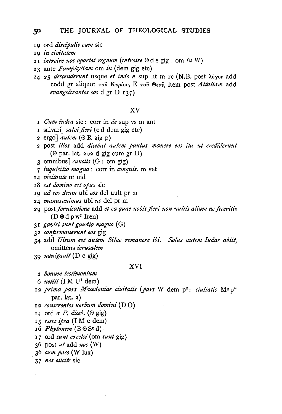- I9 ord *di'scipulis eum* sic
- <sup>I</sup>9 *in civitatem*
- 2 r *introire nos oportet regnum (introire* ®de gig: om *in* W)
- 23 ante *Pamphy!iam* om *in* (dem gig etc)
- 24-25 *descenderunt* usque *et inde n* sup lit m re (N.B. post *A6yov* add codd gr aliquot *Tov Kvp{ov,* E *TOv ®wv,* item post *Atta!iam* add *evangelizantes eos* d gr D 137)

#### XV

- <sup>I</sup>*Cum iudea* sic : corr in *de* sup vs m ant
- I salvari] *salvi fieri* (c d dem gig etc)
- 2 ergo] autem (@ R gig p)
- 2 post *i!!os* add *dicebat autem paulus manere eos ita ut crediderunt*  ( $\Theta$  par. lat. 202 d gig cum gr D)
- 3 omnibus] *cunctis* (G: om gig)
- 7 *inquisitio magna* : corr in *conquis.* m vet
- 14 *vz'sitante* ut uid
- IS *est domino est opus* sic
- I9 *ad eos deum* ubi *eos* del uult pr m
- 24 *manusauimus* ubi *us* del pr m
- 29 post *fornicatione* add *et ea quae uobt's fieri non uu!tis a!ium ne feceritis*   $(D \otimes d p w^2$  Iren)
- 3 I *gavisi sunt gaudi'o magno* (G)
- 32 *confirmauerunt eos* gig
- 34 add *Uisum est autem Sitae remanere ibi. Solus autem Judas abiit,*  omittens *i'erusalem*
- 39 *nauigauit* (D c gig)

#### XVI

- <sup>2</sup>*bonum testimonium*
- 6  $u$ *etiti* (I M U<sup>1</sup> dem)
- 12 *prima pars Macedoniae ciuitatis (pars W* dem p<sup>2</sup>: *ciuitatis* M<sup>c</sup>p<sup>\*</sup> par. lat. 2)
- 12 *conserentes uerbum domini* (D 0)
- 14 ord *a P. diceb.*  $(\Theta$  gig)
- IS *esse! ipsa* (I M e dem)
- 16 *Phytonem*  $(B \cup S^c d)$
- <sup>I</sup>7 ord *sunt exce!si* (om *sunt* gig)
- 36 post *ut* add *nos* (W)
- 36 *cum pace* (W lux)
- 37 nos eiicite sic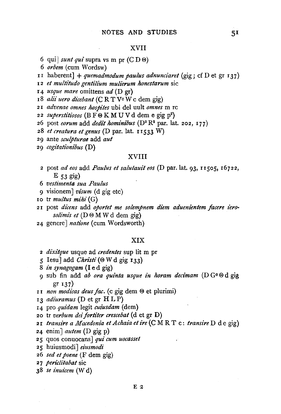### XVII

- 6 qui] *sunt qui* supra vs m pr  $(C D \omega)$
- 6 *orbem* (cum Wordsw)
- II haberent] + *quemadmodum paulus adnunciaret* (gig; cf D et gr 137)
- 12 *et multitudo gentilium mulierum honestarum* sic
- <sup>I</sup>4 *usque mare* omittens *ad* (D gr)
- 18 *alii uero dicebant* (C R T V<sup>c</sup> W c dem gig)
- 2 I *advenae omnes hospites* ubi del uult *omnes* m re
- 2 2 *superstitiosos* (B F ® K M U V d dem e gig p2 )
- 26 post *eorum* add *dedit hominibus* (D2 R2 par. lat. 202, 177)
- 28 *et creatura et genus* (D par. lat. 11533 W)
- 29 ante *sculpturae* add *aut*
- 29 *cogitationibus* (D)

## XVIII

- 2 post *ad eos* add *Paulus et salutauit eos* (D par. lat. 93, IISOS, I6722,  $E$  53 gig)
- 6 *vestimenta sua Paulus*
- 9 visionem] *visum* (d gig etc)
- 10 tr *multus mihi* (G)
- 2 I post *di'cens* add *oportet me solempnem diem adueni'entem facere iero·*  solimis et (D  $\Theta$  M W d dem gig)
- 24 genere] *natione* (cum Wordsworth)

#### XIX

- <sup>2</sup>*dz:Xi'tque* usque ad *credentes* sup lit m pr
- 5 Iesu] add *Christi* ( $\odot$  W d gig 133)
- 8 *in synagogam* (I e d gig)
- 9 sub fin add *ab ora quinta usque in horam decimam* (D Ge <sup>®</sup> d gig gr 137)
- II *non modi'cas deus fac.* (c gig dem ® et plurimi)
- 13 *adi'uramus* (D et gr H LP)
- 14 pro *quidam* legit *cuiusdam* (dem)
- 20 tr *verbum dei'forti'ter crescebat* (d et gr D)
- 21 *transire a Macedonia et Achaia et ire* (C M R T c: *transire* D d e gig)
- 24 enim J *autem* (D gig p)
- 25 quos conuocans] *qui cum uocasset*
- 25 huiusmodi] *eiusmodi*
- 26 *sed et poene* (F dem gig)
- 2 7 *periclitabat* sic
- 38 *se inuicem* (W d)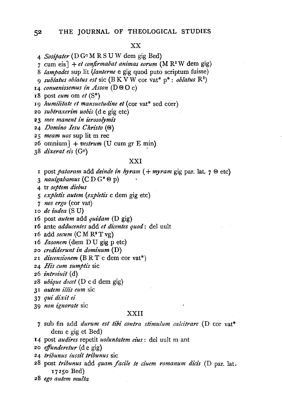#### XX

- 4 *Sosipater* ( D Gc M R S U W dem gig Bed)
- 7 cum eis] + *et confirmabat animas eorum* (M  $\mathbb{R}^2$  W dem gig)
- 8 *lampades* sup lit *(tan/erne* e gig quod puto scriptum fuisse)
- q *sublatus oblatus est* sic (B K V W cor vat<sup>\*</sup>  $p^*$ : *oblatus*  $R^2$ )
- 14 *conuenissemus in Asson* (D  $\Theta$  C)
- I8 post *eum* om *et* (S\*)
- <sup>I</sup>9 *humilitate et mansuetudine et* (cor vat\* sed corr)
- 2 o *subtraxerim uobis* ( d e gig etc)
- 2 3 *mee manent in ierosolymi's*
- 24 *Domino Iesu Christo* (®)
- 25 *meam uos* sup lit m rec
- $26$  omnium] + vestrum (U cum gr E min)
- 38 *dixerat eis* (G<sup>c</sup>)

### XXI

- <sup>I</sup>post *pataram* add *deinde in hyram* ( + *myram* gig par. lat. 7 ® etc)
- 3 *nauigabamus* (CD G\* ® p)
- 4 tr *septem diebus*
- *5 expleti's autem (expletis* c dem gig etc)
- 7 *nos ergo* (cor vat)
- IO *de iudea* (S U)
- I6 post *autem* add *quidam* (D gig)
- 16 ante *adducentes* add *et dicentes quod:* del uult
- 16 add *secum* (CM R2 T vg)
- 16 *Iasonem* (dem DU gig p etc)
- 20 *crediderunt in dominum* (D)
- 2I *di'scensionem* (BR T c dem cor vat\*)
- 24 *His cum sumptis* sic
- 26 *introiuit* (d)
- 28 *ubique docet* (D c d dem gig)
- 3 I *autem illis eum* sic
- 3 7 *qui dixit ei*
- 39 *non ignorate* sic

#### XXII

- 7 sub fin add *durum est tibi contra stimulum calcitrare* (D cor vat\* dem e gig et Bed)
- I4 post *audires* repetit *uoluntatem eius:* del uult m ant
- 20 *effunderetur* (de gig)
- 24 *tribunus iussit tribunus* sic
- 28 post *tribunus* add *quam facile te ciuem romanum dicis* (D par. lat. I725o Bed)
- 28 *ego autem multa*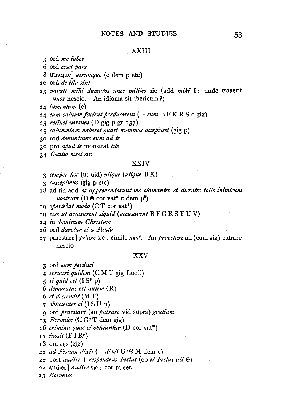#### XXIII

3 ord *me tubes* 

6 ord *esset pars* 

8 utraque] *utrumque* (c dem p etc)

20 ord *de z"llo sint* 

23 parate mihi ducentos unos milites sic (add mihi I: unde traxerit *unos* nescio. An idioma sit ibericum ?)

24 *iumentum* (c)

<sup>24</sup>*eum saluum facz"ent perducerent* ( + *eum* B F K R S c gig)

25 *retinet uersum* (D gig p gr 137)

2 5 *calumniam lzaberet quasi nummos accepisset* (gig p)

30 ord *denuntians eum ad le* 

30 pro *apud te* monstrat *tibi* 

34 *Cecilia esset* sic

#### XXIV

- 3 *semper hoc* (ut uid) *utique (utique* B K)
- 3 *suscepz"mus* (gig p etc)

1 8 ad fin add *et apprehenderunt me clamantes et dicentes tolle ini'micum 11ostrum* (D ® cor vat\* c dem p2 )

19 *oportebat modo* (C T cor vat\*)

19 *esse ut accusarent siquid (accusarent* B F G R S TU V)

24 *in dominum Christum* 

26 ord *daretur ei a Paulo* 

27 praestare] *pr'are* sic: simile xxv9 • *Anpraestare* an (cum gig) patrare nescio

### XXV

3 ord *eum perducz"* 

4 *seruari quidem* (CM T gig Lucif)

- $5$  *si quid est*  $(IS^* p)$
- 6 *demoratus est autem* (R)

6 *et descendit* (M T)

7 *obiicientes ei* (ISU p)

9 ord *praestare* (an *patrare* vid supra) *gratiam* 

13 *Beronice* (C Gc T dem gig)

x6 *crimina quae ez" obiciuntur* (D cor vat\*)

I7 *iussit* (FIRe)

18 om *ego* (gig)

 $22$  *ad Festum dixit*  $( +$  *dixit*  $G<sup>c</sup> \Theta M$  dem e)

22 post *audire* + *respondens Festus* (cp *et Festus ait* ®)

2 2 audies J *audire* sic : cor m sec

23 *Beronice*